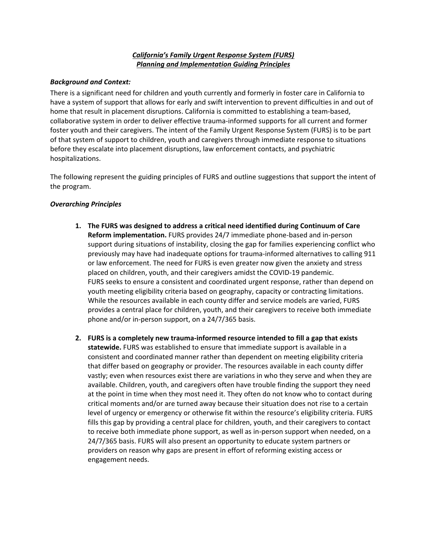# *California's Family Urgent Response System (FURS) Planning and Implementation Guiding Principles*

## *Background and Context:*

There is a significant need for children and youth currently and formerly in foster care in California to have a system of support that allows for early and swift intervention to prevent difficulties in and out of home that result in placement disruptions. California is committed to establishing a team-based, collaborative system in order to deliver effective trauma-informed supports for all current and former foster youth and their caregivers. The intent of the Family Urgent Response System (FURS) is to be part of that system of support to children, youth and caregivers through immediate response to situations before they escalate into placement disruptions, law enforcement contacts, and psychiatric hospitalizations.

The following represent the guiding principles of FURS and outline suggestions that support the intent of the program.

## *Overarching Principles*

- **1. The FURS was designed to address a critical need identified during Continuum of Care Reform implementation.** FURS provides 24/7 immediate phone-based and in-person support during situations of instability, closing the gap for families experiencing conflict who previously may have had inadequate options for trauma-informed alternatives to calling 911 or law enforcement. The need for FURS is even greater now given the anxiety and stress placed on children, youth, and their caregivers amidst the COVID-19 pandemic. FURS seeks to ensure a consistent and coordinated urgent response, rather than depend on youth meeting eligibility criteria based on geography, capacity or contracting limitations. While the resources available in each county differ and service models are varied, FURS provides a central place for children, youth, and their caregivers to receive both immediate phone and/or in-person support, on a 24/7/365 basis.
- **2. FURS is a completely new trauma-informed resource intended to fill a gap that exists statewide.** FURS was established to ensure that immediate support is available in a consistent and coordinated manner rather than dependent on meeting eligibility criteria that differ based on geography or provider. The resources available in each county differ vastly; even when resources exist there are variations in who they serve and when they are available. Children, youth, and caregivers often have trouble finding the support they need at the point in time when they most need it. They often do not know who to contact during critical moments and/or are turned away because their situation does not rise to a certain level of urgency or emergency or otherwise fit within the resource's eligibility criteria. FURS fills this gap by providing a central place for children, youth, and their caregivers to contact to receive both immediate phone support, as well as in-person support when needed, on a 24/7/365 basis. FURS will also present an opportunity to educate system partners or providers on reason why gaps are present in effort of reforming existing access or engagement needs.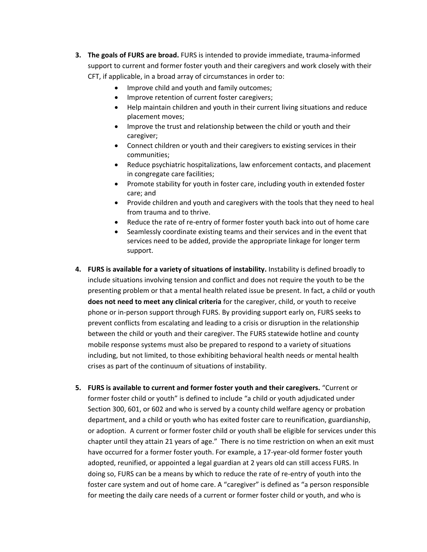- **3. The goals of FURS are broad.** FURS is intended to provide immediate, trauma-informed support to current and former foster youth and their caregivers and work closely with their CFT, if applicable, in a broad array of circumstances in order to:
	- Improve child and youth and family outcomes;
	- Improve retention of current foster caregivers;
	- Help maintain children and youth in their current living situations and reduce placement moves;
	- Improve the trust and relationship between the child or youth and their caregiver;
	- Connect children or youth and their caregivers to existing services in their communities;
	- Reduce psychiatric hospitalizations, law enforcement contacts, and placement in congregate care facilities;
	- Promote stability for youth in foster care, including youth in extended foster care; and
	- Provide children and youth and caregivers with the tools that they need to heal from trauma and to thrive.
	- Reduce the rate of re-entry of former foster youth back into out of home care
	- Seamlessly coordinate existing teams and their services and in the event that services need to be added, provide the appropriate linkage for longer term support.
- **4. FURS is available for a variety of situations of instability.** Instability is defined broadly to include situations involving tension and conflict and does not require the youth to be the presenting problem or that a mental health related issue be present. In fact, a child or youth **does not need to meet any clinical criteria** for the caregiver, child, or youth to receive phone or in-person support through FURS. By providing support early on, FURS seeks to prevent conflicts from escalating and leading to a crisis or disruption in the relationship between the child or youth and their caregiver. The FURS statewide hotline and county mobile response systems must also be prepared to respond to a variety of situations including, but not limited, to those exhibiting behavioral health needs or mental health crises as part of the continuum of situations of instability.
- **5. FURS is available to current and former foster youth and their caregivers.** "Current or former foster child or youth" is defined to include "a child or youth adjudicated under Section 300, 601, or 602 and who is served by a county child welfare agency or probation department, and a child or youth who has exited foster care to reunification, guardianship, or adoption. A current or former foster child or youth shall be eligible for services under this chapter until they attain 21 years of age." There is no time restriction on when an exit must have occurred for a former foster youth. For example, a 17-year-old former foster youth adopted, reunified, or appointed a legal guardian at 2 years old can still access FURS. In doing so, FURS can be a means by which to reduce the rate of re-entry of youth into the foster care system and out of home care. A "caregiver" is defined as "a person responsible for meeting the daily care needs of a current or former foster child or youth, and who is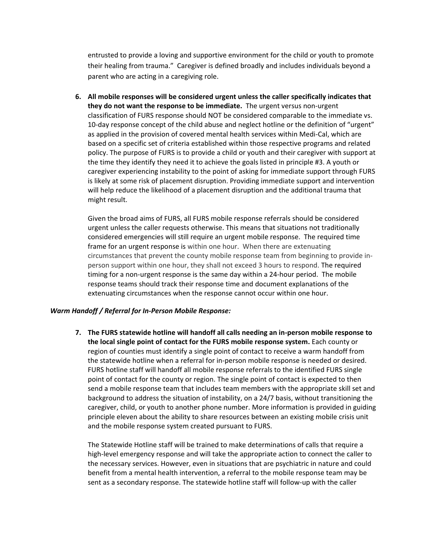entrusted to provide a loving and supportive environment for the child or youth to promote their healing from trauma." Caregiver is defined broadly and includes individuals beyond a parent who are acting in a caregiving role.

**6. All mobile responses will be considered urgent unless the caller specifically indicates that they do not want the response to be immediate.** The urgent versus non-urgent classification of FURS response should NOT be considered comparable to the immediate vs. 10-day response concept of the child abuse and neglect hotline or the definition of "urgent" as applied in the provision of covered mental health services within Medi-Cal, which are based on a specific set of criteria established within those respective programs and related policy. The purpose of FURS is to provide a child or youth and their caregiver with support at the time they identify they need it to achieve the goals listed in principle #3. A youth or caregiver experiencing instability to the point of asking for immediate support through FURS is likely at some risk of placement disruption. Providing immediate support and intervention will help reduce the likelihood of a placement disruption and the additional trauma that might result.

Given the broad aims of FURS, all FURS mobile response referrals should be considered urgent unless the caller requests otherwise. This means that situations not traditionally considered emergencies will still require an urgent mobile response. The required time frame for an urgent response is within one hour. When there are extenuating circumstances that prevent the county mobile response team from beginning to provide inperson support within one hour, they shall not exceed 3 hours to respond. The required timing for a non-urgent response is the same day within a 24-hour period. The mobile response teams should track their response time and document explanations of the extenuating circumstances when the response cannot occur within one hour.

## *Warm Handoff / Referral for In-Person Mobile Response:*

**7. The FURS statewide hotline will handoff all calls needing an in-person mobile response to the local single point of contact for the FURS mobile response system.** Each county or region of counties must identify a single point of contact to receive a warm handoff from the statewide hotline when a referral for in-person mobile response is needed or desired. FURS hotline staff will handoff all mobile response referrals to the identified FURS single point of contact for the county or region. The single point of contact is expected to then send a mobile response team that includes team members with the appropriate skill set and background to address the situation of instability, on a 24/7 basis, without transitioning the caregiver, child, or youth to another phone number. More information is provided in guiding principle eleven about the ability to share resources between an existing mobile crisis unit and the mobile response system created pursuant to FURS.

The Statewide Hotline staff will be trained to make determinations of calls that require a high-level emergency response and will take the appropriate action to connect the caller to the necessary services. However, even in situations that are psychiatric in nature and could benefit from a mental health intervention, a referral to the mobile response team may be sent as a secondary response. The statewide hotline staff will follow-up with the caller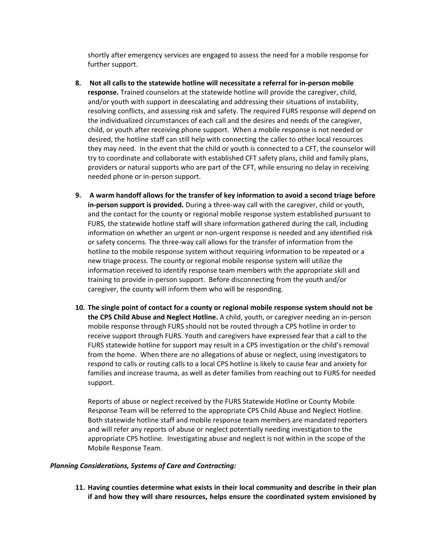shortly after emergency services are engaged to assess the need for a mobile response for further support.

- **8. Not all calls to the statewide hotline will necessitate a referral for in-person mobile response.** Trained counselors at the statewide hotline will provide the caregiver, child, and/or youth with support in deescalating and addressing their situations of instability, resolving conflicts, and assessing risk and safety. The required FURS response will depend on the individualized circumstances of each call and the desires and needs of the caregiver, child, or youth after receiving phone support. When a mobile response is not needed or desired, the hotline staff can still help with connecting the caller to other local resources they may need. In the event that the child or youth is connected to a CFT, the counselor will try to coordinate and collaborate with established CFT safety plans, child and family plans, providers or natural supports who are part of the CFT, while ensuring no delay in receiving needed phone or in-person support.
- **9. A warm handoff allows for the transfer of key information to avoid a second triage before in-person support is provided.** During a three-way call with the caregiver, child or youth, and the contact for the county or regional mobile response system established pursuant to FURS, the statewide hotline staff will share information gathered during the call, including information on whether an urgent or non-urgent response is needed and any identified risk or safety concerns. The three-way call allows for the transfer of information from the hotline to the mobile response system without requiring information to be repeated or a new triage process. The county or regional mobile response system will utilize the information received to identify response team members with the appropriate skill and training to provide in-person support. Before disconnecting from the youth and/or caregiver, the county will inform them who will be responding.
- **10. The single point of contact for a county or regional mobile response system should not be the CPS Child Abuse and Neglect Hotline.** A child, youth, or caregiver needing an in-person mobile response through FURS should not be routed through a CPS hotline in order to receive support through FURS. Youth and caregivers have expressed fear that a call to the FURS statewide hotline for support may result in a CPS investigation or the child's removal from the home. When there are no allegations of abuse or neglect, using investigators to respond to calls or routing calls to a local CPS hotline is likely to cause fear and anxiety for families and increase trauma, as well as deter families from reaching out to FURS for needed support.

Reports of abuse or neglect received by the FURS Statewide Hotline or County Mobile Response Team will be referred to the appropriate CPS Child Abuse and Neglect Hotline. Both statewide hotline staff and mobile response team members are mandated reporters and will refer any reports of abuse or neglect potentially needing investigation to the appropriate CPS hotline. Investigating abuse and neglect is not within in the scope of the Mobile Response Team.

## *Planning Considerations, Systems of Care and Contracting:*

**11. Having counties determine what exists in their local community and describe in their plan if and how they will share resources, helps ensure the coordinated system envisioned by**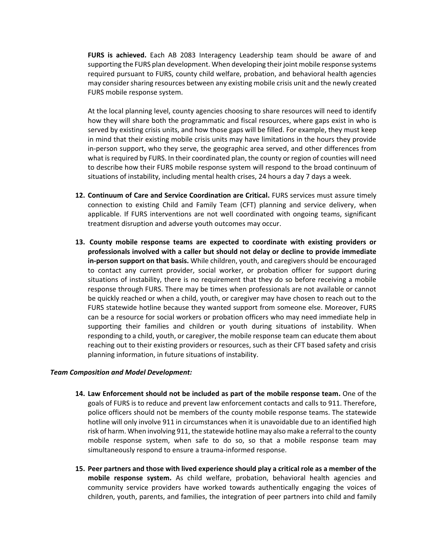**FURS is achieved.** Each AB 2083 Interagency Leadership team should be aware of and supporting the FURS plan development. When developing their joint mobile response systems required pursuant to FURS, county child welfare, probation, and behavioral health agencies may consider sharing resources between any existing mobile crisis unit and the newly created FURS mobile response system.

At the local planning level, county agencies choosing to share resources will need to identify how they will share both the programmatic and fiscal resources, where gaps exist in who is served by existing crisis units, and how those gaps will be filled. For example, they must keep in mind that their existing mobile crisis units may have limitations in the hours they provide in-person support, who they serve, the geographic area served, and other differences from what is required by FURS. In their coordinated plan, the county or region of counties will need to describe how their FURS mobile response system will respond to the broad continuum of situations of instability, including mental health crises, 24 hours a day 7 days a week.

- **12. Continuum of Care and Service Coordination are Critical.** FURS services must assure timely connection to existing Child and Family Team (CFT) planning and service delivery, when applicable. If FURS interventions are not well coordinated with ongoing teams, significant treatment disruption and adverse youth outcomes may occur.
- **13. County mobile response teams are expected to coordinate with existing providers or professionals involved with a caller but should not delay or decline to provide immediate in-person support on that basis.** While children, youth, and caregivers should be encouraged to contact any current provider, social worker, or probation officer for support during situations of instability, there is no requirement that they do so before receiving a mobile response through FURS. There may be times when professionals are not available or cannot be quickly reached or when a child, youth, or caregiver may have chosen to reach out to the FURS statewide hotline because they wanted support from someone else. Moreover, FURS can be a resource for social workers or probation officers who may need immediate help in supporting their families and children or youth during situations of instability. When responding to a child, youth, or caregiver, the mobile response team can educate them about reaching out to their existing providers or resources, such as their CFT based safety and crisis planning information, in future situations of instability.

### *Team Composition and Model Development:*

- **14. Law Enforcement should not be included as part of the mobile response team.** One of the goals of FURS is to reduce and prevent law enforcement contacts and calls to 911. Therefore, police officers should not be members of the county mobile response teams. The statewide hotline will only involve 911 in circumstances when it is unavoidable due to an identified high risk of harm. When involving 911, the statewide hotline may also make a referral to the county mobile response system, when safe to do so, so that a mobile response team may simultaneously respond to ensure a trauma-informed response.
- **15. Peer partners and those with lived experience should play a critical role as a member of the mobile response system.** As child welfare, probation, behavioral health agencies and community service providers have worked towards authentically engaging the voices of children, youth, parents, and families, the integration of peer partners into child and family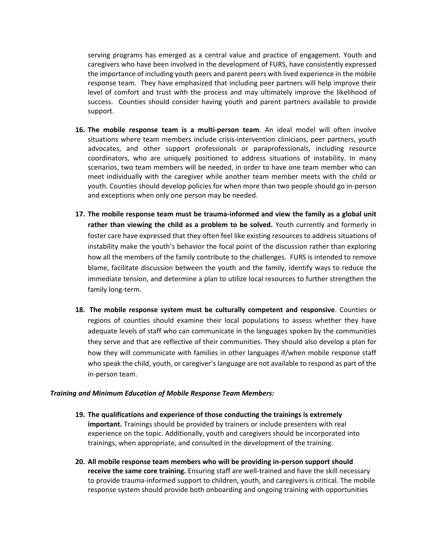serving programs has emerged as a central value and practice of engagement. Youth and caregivers who have been involved in the development of FURS, have consistently expressed the importance of including youth peers and parent peers with lived experience in the mobile response team. They have emphasized that including peer partners will help improve their level of comfort and trust with the process and may ultimately improve the likelihood of success. Counties should consider having youth and parent partners available to provide support.

- **16. The mobile response team is a multi-person team**. An ideal model will often involve situations where team members include crisis-intervention clinicians, peer partners, youth advocates, and other support professionals or paraprofessionals, including resource coordinators, who are uniquely positioned to address situations of instability. In many scenarios, two team members will be needed, in order to have one team member who can meet individually with the caregiver while another team member meets with the child or youth. Counties should develop policies for when more than two people should go in-person and exceptions when only one person may be needed.
- **17. The mobile response team must be trauma-informed and view the family as a global unit rather than viewing the child as a problem to be solved.** Youth currently and formerly in foster care have expressed that they often feel like existing resources to address situations of instability make the youth's behavior the focal point of the discussion rather than exploring how all the members of the family contribute to the challenges. FURS is intended to remove blame, facilitate discussion between the youth and the family, identify ways to reduce the immediate tension, and determine a plan to utilize local resources to further strengthen the family long-term.
- **18. The mobile response system must be culturally competent and responsive**. Counties or regions of counties should examine their local populations to assess whether they have adequate levels of staff who can communicate in the languages spoken by the communities they serve and that are reflective of their communities. They should also develop a plan for how they will communicate with families in other languages if/when mobile response staff who speak the child, youth, or caregiver's language are not available to respond as part of the in-person team.

### *Training and Minimum Education of Mobile Response Team Members:*

- **19. The qualifications and experience of those conducting the trainings is extremely important.** Trainings should be provided by trainers or include presenters with real experience on the topic. Additionally, youth and caregivers should be incorporated into trainings, when appropriate, and consulted in the development of the training.
- **20. All mobile response team members who will be providing in-person support should receive the same core training.** Ensuring staff are well-trained and have the skill necessary to provide trauma-informed support to children, youth, and caregivers is critical. The mobile response system should provide both onboarding and ongoing training with opportunities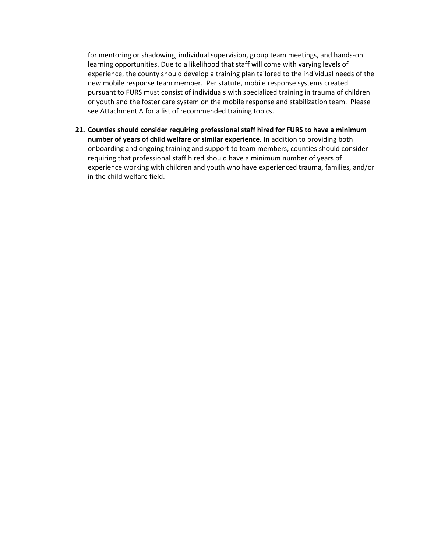for mentoring or shadowing, individual supervision, group team meetings, and hands-on learning opportunities. Due to a likelihood that staff will come with varying levels of experience, the county should develop a training plan tailored to the individual needs of the new mobile response team member. Per statute, mobile response systems created pursuant to FURS must consist of individuals with specialized training in trauma of children or youth and the foster care system on the mobile response and stabilization team. Please see Attachment A for a list of recommended training topics.

**21. Counties should consider requiring professional staff hired for FURS to have a minimum number of years of child welfare or similar experience.** In addition to providing both onboarding and ongoing training and support to team members, counties should consider requiring that professional staff hired should have a minimum number of years of experience working with children and youth who have experienced trauma, families, and/or in the child welfare field.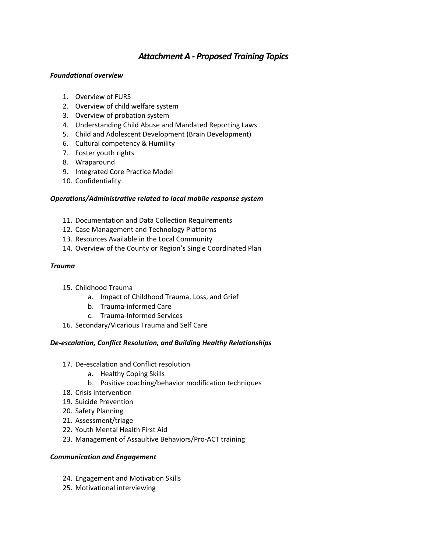# *Attachment A - Proposed Training Topics*

# *Foundational overview*

- 1. Overview of FURS
- 2. Overview of child welfare system
- 3. Overview of probation system
- 4. Understanding Child Abuse and Mandated Reporting Laws
- 5. Child and Adolescent Development (Brain Development)
- 6. Cultural competency & Humility
- 7. Foster youth rights
- 8. Wraparound
- 9. Integrated Core Practice Model
- 10. Confidentiality

## *Operations/Administrative related to local mobile response system*

- 11. Documentation and Data Collection Requirements
- 12. Case Management and Technology Platforms
- 13. Resources Available in the Local Community
- 14. Overview of the County or Region's Single Coordinated Plan

## *Trauma*

- 15. Childhood Trauma
	- a. Impact of Childhood Trauma, Loss, and Grief
	- b. Trauma-informed Care
	- c. Trauma-Informed Services
- 16. Secondary/Vicarious Trauma and Self Care

## *De-escalation, Conflict Resolution, and Building Healthy Relationships*

- 17. De-escalation and Conflict resolution
	- a. Healthy Coping Skills
	- b. Positive coaching/behavior modification techniques
- 18. Crisis intervention
- 19. Suicide Prevention
- 20. Safety Planning
- 21. Assessment/triage
- 22. Youth Mental Health First Aid
- 23. Management of Assaultive Behaviors/Pro-ACT training

## *Communication and Engagement*

- 24. Engagement and Motivation Skills
- 25. Motivational interviewing